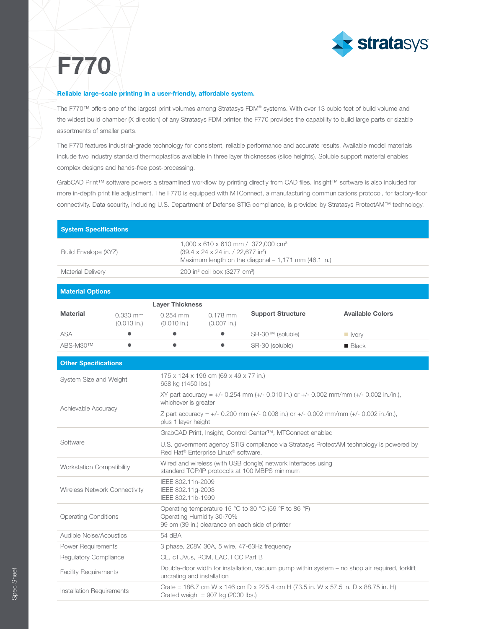

## F770

## Reliable large-scale printing in a user-friendly, affordable system.

The F770™ offers one of the largest print volumes among Stratasys FDM® systems. With over 13 cubic feet of build volume and the widest build chamber (X direction) of any Stratasys FDM printer, the F770 provides the capability to build large parts or sizable assortments of smaller parts.

The F770 features industrial-grade technology for consistent, reliable performance and accurate results. Available model materials include two industry standard thermoplastics available in three layer thicknesses (slice heights). Soluble support material enables complex designs and hands-free post-processing.

GrabCAD Print™ software powers a streamlined workflow by printing directly from CAD files. Insight™ software is also included for more in-depth print file adjustment. The F770 is equipped with MTConnect, a manufacturing communications protocol, for factory-floor connectivity. Data security, including U.S. Department of Defense STIG compliance, is provided by Stratasys ProtectAM™ technology.

| <b>System Specifications</b>     |                             |                                                                                                                                                          |                             |                          |                         |
|----------------------------------|-----------------------------|----------------------------------------------------------------------------------------------------------------------------------------------------------|-----------------------------|--------------------------|-------------------------|
| Build Envelope (XYZ)             |                             | 1,000 x 610 x 610 mm / 372,000 cm <sup>3</sup><br>(39.4 x 24 x 24 in. / 22,677 in <sup>3</sup> )<br>Maximum length on the diagonal - 1,171 mm (46.1 in.) |                             |                          |                         |
| <b>Material Delivery</b>         |                             | 200 in $3$ coil box (3277 cm $3$ )                                                                                                                       |                             |                          |                         |
|                                  |                             |                                                                                                                                                          |                             |                          |                         |
| <b>Material Options</b>          |                             |                                                                                                                                                          |                             |                          |                         |
|                                  |                             | <b>Layer Thickness</b>                                                                                                                                   |                             |                          |                         |
| <b>Material</b>                  | $0.330$ mm<br>$(0.013$ in.) | $0.254$ mm<br>$(0.010$ in.)                                                                                                                              | $0.178$ mm<br>$(0.007$ in.) | <b>Support Structure</b> | <b>Available Colors</b> |
| <b>ASA</b>                       | $\bullet$                   | $\bullet$                                                                                                                                                |                             | SR-30™ (soluble)         | $\blacksquare$ Ivory    |
| ABS-M30™                         | $\bullet$                   | $\bullet$                                                                                                                                                | $\bullet$                   | SR-30 (soluble)          | $\blacksquare$ Black    |
| <b>Other Specifications</b>      |                             |                                                                                                                                                          |                             |                          |                         |
| System Size and Weight           |                             | 175 x 124 x 196 cm (69 x 49 x 77 in.)<br>658 kg (1450 lbs.)                                                                                              |                             |                          |                         |
| Achievable Accuracy              |                             | XY part accuracy = $+/-$ 0.254 mm ( $+/-$ 0.010 in.) or $+/-$ 0.002 mm/mm ( $+/-$ 0.002 in./in.),<br>whichever is greater                                |                             |                          |                         |
|                                  |                             | Z part accuracy = +/- 0.200 mm (+/- 0.008 in.) or +/- 0.002 mm/mm (+/- 0.002 in./in.),<br>plus 1 layer height                                            |                             |                          |                         |
| Software                         |                             | GrabCAD Print, Insight, Control Center™, MTConnect enabled                                                                                               |                             |                          |                         |
|                                  |                             | U.S. government agency STIG compliance via Stratasys ProtectAM technology is powered by<br>Red Hat <sup>®</sup> Enterprise Linux <sup>®</sup> software.  |                             |                          |                         |
| <b>Workstation Compatibility</b> |                             | Wired and wireless (with USB dongle) network interfaces using<br>standard TCP/IP protocols at 100 MBPS minimum                                           |                             |                          |                         |
| Wireless Network Connectivity    |                             | IEEE 802.11n-2009<br>IEEE 802.11g-2003<br>IEEE 802.11b-1999                                                                                              |                             |                          |                         |
| <b>Operating Conditions</b>      |                             | Operating temperature 15 °C to 30 °C (59 °F to 86 °F)<br>Operating Humidity 30-70%<br>99 cm (39 in.) clearance on each side of printer                   |                             |                          |                         |
| Audible Noise/Acoustics          |                             | 54 dBA                                                                                                                                                   |                             |                          |                         |
| <b>Power Requirements</b>        |                             | 3 phase, 208V, 30A, 5 wire, 47-63Hz frequency                                                                                                            |                             |                          |                         |

Regulatory Compliance CE, cTUVus, RCM, EAC, FCC Part B Facility Requirements **Double-door width for installation**, vacuum pump within system – no shop air required, forklift uncrating and installation Installation Requirements Crate = 186.7 cm W x 146 cm D x 225.4 cm H (73.5 in. W x 57.5 in. D x 88.75 in. H) Crated weight =  $907$  kg (2000 lbs.)